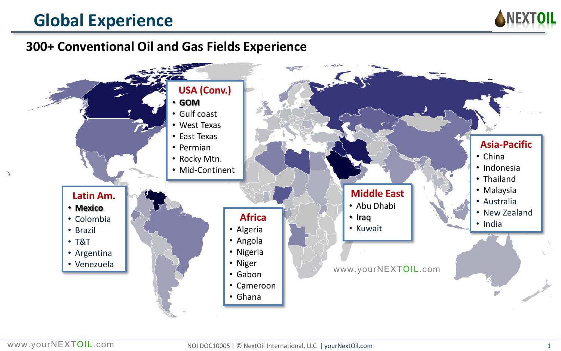# **Global Experience**



### **300+ Conventional Oil and Gas Fields Experience**

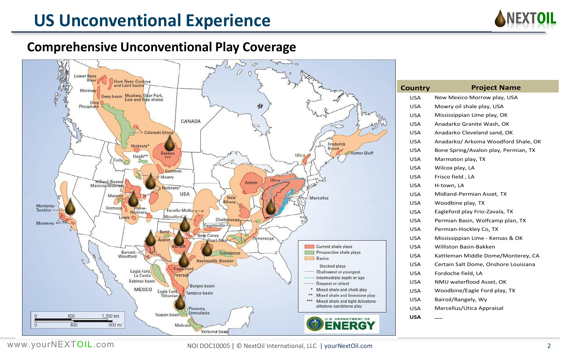# **US Unconventional Experience**



### **Comprehensive Unconventional Play Coverage**



| Country | <b>Project Name</b>                  |  |
|---------|--------------------------------------|--|
| USA     | New Mexico Morrow play, USA          |  |
| USA     | Mowry oil shale play, USA            |  |
| USA     | Mississippian Lime play, OK          |  |
| USA     | Anadarko Granite Wash, OK            |  |
| USA     | Anadarko Cleveland sand, OK          |  |
| USA     | Anadarko/ Arkoma Woodford Shale, OK  |  |
| USA     | Bone Spring/Avalon play, Permian, TX |  |
| USA     | Marmaton play, TX                    |  |
| USA     | Wilcox play, LA                      |  |
| USA     | Frisco field, LA                     |  |
| USA     | H-town, LA                           |  |
| USA     | Midland-Permian Asset, TX            |  |
| USA     | Woodbine play, TX                    |  |
| USA     | Eagleford play Frio-Zavala, TX       |  |
| USA     | Permian Basin, Wolfcamp plan, TX     |  |
| USA     | Permian-Hockley Co, TX               |  |
| USA     | Mississippian Lime - Kensas & OK     |  |
| USA     | Williston Basin-Bakken               |  |
| USA     | Kattleman Middle Dome/Monterey, CA   |  |
| USA     | Certain Salt Dome, Onshore Louisiana |  |
| USA     | Fordoche field, LA                   |  |
| USA     | NMU waterflood Asset, OK             |  |
| USA     | Woodbine/Eagle Ford play, TX         |  |
| USA     | Bairoil/Rangely, Wy                  |  |
| USA     | Marcellus/Utica Appraisal            |  |
| USA     |                                      |  |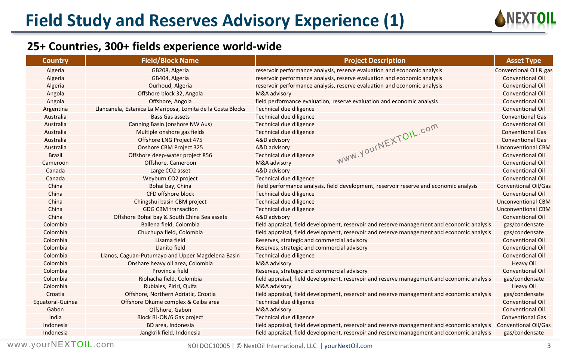

| <b>Country</b>   | <b>Field/Block Name</b>                                     | <b>Project Description</b>                                                                 | <b>Asset Type</b>           |
|------------------|-------------------------------------------------------------|--------------------------------------------------------------------------------------------|-----------------------------|
| Algeria          | GB208, Algeria                                              | reservoir performance analysis, reserve evaluation and economic analysis                   | Conventional Oil & gas      |
| Algeria          | GB404, Algeria                                              | reservoir performance analysis, reserve evaluation and economic analysis                   | <b>Conventional Oil</b>     |
| Algeria          | Ourhoud, Algeria                                            | reservoir performance analysis, reserve evaluation and economic analysis                   | <b>Conventional Oil</b>     |
| Angola           | Offshore block 32, Angola                                   | M&A advisory                                                                               | <b>Conventional Oil</b>     |
| Angola           | Offshore, Angola                                            | field performance evaluation, reserve evaluation and economic analysis                     | <b>Conventional Oil</b>     |
| Argentina        | Llancanela, Estanica La Mariposa, Lomita de la Costa Blocks | Technical due diligence                                                                    | <b>Conventional Oil</b>     |
| Australia        | <b>Bass Gas assets</b>                                      | Technical due diligence                                                                    | <b>Conventional Gas</b>     |
| Australia        | Canning Basin (onshore NW Aus)                              | Technical due diligence                                                                    | <b>Conventional Oil</b>     |
| Australia        | Multiple onshore gas fields                                 | Technical due diligence                                                                    | <b>Conventional Gas</b>     |
| Australia        | Offshore LNG Project 475                                    | A&D advisory                                                                               | <b>Conventional Gas</b>     |
| Australia        | Onshore CBM Project 325                                     | A&D advisory                                                                               | <b>Unconventional CBM</b>   |
| <b>Brazil</b>    | Offshore deep-water project 856                             | WWW.YOUINEXTOIL.com<br>Technical due diligence                                             | <b>Conventional Oil</b>     |
| Cameroon         | Offshore, Cameroon                                          | M&A advisory                                                                               | <b>Conventional Oil</b>     |
| Canada           | Large CO2 asset                                             | A&D advisory                                                                               | <b>Conventional Oil</b>     |
| Canada           | Weyburn CO2 project                                         | Technical due diligence                                                                    | <b>Conventional Oil</b>     |
| China            | Bohai bay, China                                            | field performance analysis, field development, reservoir reserve and economic analysis     | <b>Conventional Oil/Gas</b> |
| China            | CFD offshore block                                          | Technical due diligence                                                                    | <b>Conventional Oil</b>     |
| China            | Chingshui basin CBM project                                 | Technical due diligence                                                                    | <b>Unconventional CBM</b>   |
| China            | <b>GDG CBM transaction</b>                                  | Technical due diligence                                                                    | <b>Unconventional CBM</b>   |
| China            | Offshore Bohai bay & South China Sea assets                 | A&D advisory                                                                               | <b>Conventional Oil</b>     |
| Colombia         | Ballena field, Colombia                                     | field appraisal, field development, reservoir and reserve management and economic analysis | gas/condensate              |
| Colombia         | Chuchupa field, Colombia                                    | field appraisal, field development, reservoir and reserve management and economic analysis | gas/condensate              |
| Colombia         | Lisama field                                                | Reserves, strategic and commercial advisory                                                | <b>Conventional Oil</b>     |
| Colombia         | Llanito field                                               | Reserves, strategic and commercial advisory                                                | <b>Conventional Oil</b>     |
| Colombia         | Llanos, Caguan-Putumayo and Upper Magdelena Basin           | Technical due diligence                                                                    | <b>Conventional Oil</b>     |
| Colombia         | Onshare heavy oil area, Colombia                            | M&A advisory                                                                               | <b>Heavy Oil</b>            |
| Colombia         | Provincia field                                             | Reserves, strategic and commercial advisory                                                | <b>Conventional Oil</b>     |
| Colombia         | Riohacha field, Colombia                                    | field appraisal, field development, reservoir and reserve management and economic analysis | gas/condensate              |
| Colombia         | Rubiales, Piriri, Quifa                                     | M&A advisory                                                                               | <b>Heavy Oil</b>            |
| Croatia          | Offshore, Northern Adriatic, Croatia                        | field appraisal, field development, reservoir and reserve management and economic analysis | gas/condensate              |
| Equatoral-Guinea | Offshore Okume complex & Ceiba area                         | Technical due diligence                                                                    | <b>Conventional Oil</b>     |
| Gabon            | Offshore, Gabon                                             | M&A advisory                                                                               | <b>Conventional Oil</b>     |
| India            | Block RJ-ON/6 Gas project                                   | Technical due diligence                                                                    | <b>Conventional Gas</b>     |
| Indonesia        | BD area, Indonesia                                          | field appraisal, field development, reservoir and reserve management and economic analysis | <b>Conventional Oil/Gas</b> |
| Indonesia        | Jangkrik field, Indonesia                                   | field appraisal, field development, reservoir and reserve management and economic analysis | gas/condensate              |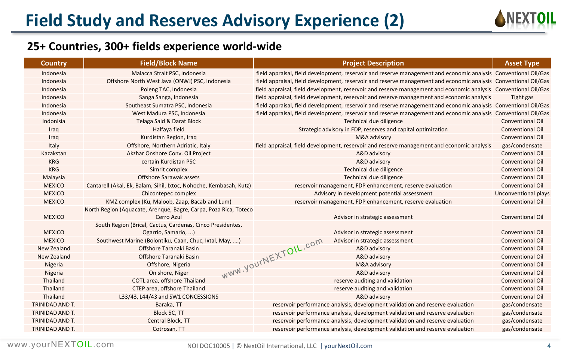

| <b>Country</b>  | <b>Field/Block Name</b>                                                           | <b>Project Description</b>                                                                                      | <b>Asset Type</b>       |
|-----------------|-----------------------------------------------------------------------------------|-----------------------------------------------------------------------------------------------------------------|-------------------------|
| Indonesia       | Malacca Strait PSC, Indonesia                                                     | field appraisal, field development, reservoir and reserve management and economic analysis Conventional Oil/Gas |                         |
| Indonesia       | Offshore North West Java (ONWJ) PSC, Indonesia                                    | field appraisal, field development, reservoir and reserve management and economic analysis Conventional Oil/Gas |                         |
| Indonesia       | Poleng TAC, Indonesia                                                             | field appraisal, field development, reservoir and reserve management and economic analysis Conventional Oil/Gas |                         |
| Indonesia       | Sanga Sanga, Indonesia                                                            | field appraisal, field development, reservoir and reserve management and economic analysis                      | Tight gas               |
| Indonesia       | Southeast Sumatra PSC, Indonesia                                                  | field appraisal, field development, reservoir and reserve management and economic analysis Conventional Oil/Gas |                         |
| Indonesia       | West Madura PSC, Indonesia                                                        | field appraisal, field development, reservoir and reserve management and economic analysis Conventional Oil/Gas |                         |
| Indonisia       | Telaga Said & Darat Block                                                         | Technical due diligence                                                                                         | Conventional Oil        |
| Iraq            | Halfaya field                                                                     | Strategic advisory in FDP, reserves and capital optimization                                                    | <b>Conventional Oil</b> |
| Iraq            | Kurdistan Region, Iraq                                                            | M&A advisory                                                                                                    | <b>Conventional Oil</b> |
| Italy           | Offshore, Northern Adriatic, Italy                                                | field appraisal, field development, reservoir and reserve management and economic analysis                      | gas/condensate          |
| Kazakstan       | Akzhar Onshore Conv. Oil Project                                                  | A&D advisory                                                                                                    | <b>Conventional Oil</b> |
| <b>KRG</b>      | certain Kurdistan PSC                                                             | A&D advisory                                                                                                    | Conventional Oil        |
| <b>KRG</b>      | Simrit complex                                                                    | Technical due diligence                                                                                         | <b>Conventional Oil</b> |
| Malaysia        | Offshore Sarawak assets                                                           | Technical due diligence                                                                                         | <b>Conventional Oil</b> |
| <b>MEXICO</b>   | Cantarell (Akal, Ek, Balam, Sihil, Ixtoc, Nohoche, Kembasah, Kutz)                | reservoir management, FDP enhancement, reserve evaluation                                                       | Conventional Oil        |
| <b>MEXICO</b>   | Chicontepec complex                                                               | Advisory in development potential assessment                                                                    | Unconventional plays    |
| <b>MEXICO</b>   | KMZ complex (Ku, Maloob, Zaap, Bacab and Lum)                                     | reservoir management, FDP enhancement, reserve evaluation                                                       | <b>Conventional Oil</b> |
| <b>MEXICO</b>   | North Region (Aquacate, Arenque, Bagre, Carpa, Poza Rica, Toteco<br>Cerro Azul    | Advisor in strategic assessment                                                                                 | <b>Conventional Oil</b> |
| <b>MEXICO</b>   | South Region (Brical, Cactus, Cardenas, Cinco Presidentes,<br>Ogarrio, Samario, ) | Advisor in strategic assessment                                                                                 | <b>Conventional Oil</b> |
| <b>MEXICO</b>   | Southwest Marine (Bolontiku, Caan, Chuc, Ixtal, May, )                            | Advisor in strategic assessment<br>WWW.YOUrNEXTOIL.com                                                          | <b>Conventional Oil</b> |
| New Zealand     | Offshore Taranaki Basin                                                           | A&D advisory                                                                                                    | <b>Conventional Oil</b> |
| New Zealand     | Offshore Taranaki Basin                                                           | A&D advisory                                                                                                    | <b>Conventional Oil</b> |
| Nigeria         | Offshore, Nigeria                                                                 | M&A advisory                                                                                                    | <b>Conventional Oil</b> |
| Nigeria         | On shore, Niger                                                                   | A&D advisory                                                                                                    | <b>Conventional Oil</b> |
| Thailand        | COTL area, offshore Thailand                                                      | reserve auditing and validation                                                                                 | <b>Conventional Oil</b> |
| Thailand        | CTEP area, offshore Thailand                                                      | reserve auditing and validation                                                                                 | <b>Conventional Oil</b> |
| Thailand        | L33/43, L44/43 and SW1 CONCESSIONS                                                | A&D advisory                                                                                                    | <b>Conventional Oil</b> |
| TRINIDAD AND T. | Baraka, TT                                                                        | reservoir performance analysis, development validation and reserve evaluation                                   | gas/condensate          |
| TRINIDAD AND T. | Block 5C, TT                                                                      | reservoir performance analysis, development validation and reserve evaluation                                   | gas/condensate          |
| TRINIDAD AND T. | Central Block, TT                                                                 | reservoir performance analysis, development validation and reserve evaluation                                   | gas/condensate          |
| TRINIDAD AND T. | Cotrosan, TT                                                                      | reservoir performance analysis, development validation and reserve evaluation                                   | gas/condensate          |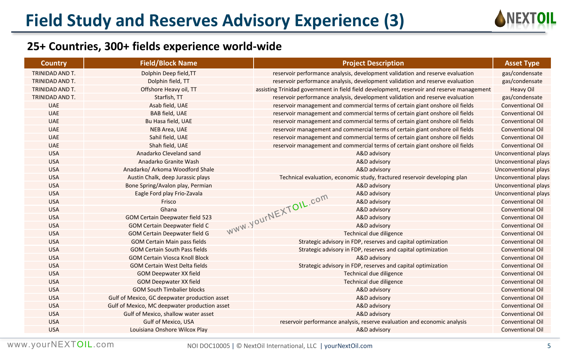

| TRINIDAD AND T.<br>Dolphin Deep field, TT<br>reservoir performance analysis, development validation and reserve evaluation<br>gas/condensate<br>TRINIDAD AND T.<br>Dolphin field, TT<br>reservoir performance analysis, development validation and reserve evaluation<br>gas/condensate<br>Offshore Heavy oil, TT<br><b>Heavy Oil</b><br>TRINIDAD AND T.<br>assisting Trinidad government in field field development, reservoir and reserve management<br>Starfish, TT<br>gas/condensate<br>TRINIDAD AND T.<br>reservoir performance analysis, development validation and reserve evaluation<br>Asab field, UAE<br><b>UAE</b><br>reservoir management and commercial terms of certain giant onshore oil fields<br>Conventional Oil<br><b>UAE</b><br><b>BAB field, UAE</b><br>reservoir management and commercial terms of certain giant onshore oil fields<br><b>Conventional Oil</b><br><b>UAE</b><br>Bu Hasa field, UAE<br>reservoir management and commercial terms of certain giant onshore oil fields<br><b>Conventional Oil</b><br><b>UAE</b><br>NEB Area, UAE<br>reservoir management and commercial terms of certain giant onshore oil fields<br><b>Conventional Oil</b><br><b>UAE</b><br>Sahil field, UAE<br>reservoir management and commercial terms of certain giant onshore oil fields<br><b>Conventional Oil</b><br>Shah field, UAE<br><b>UAE</b><br>reservoir management and commercial terms of certain giant onshore oil fields<br>Conventional Oil<br><b>USA</b><br>Anadarko Cleveland sand<br>A&D advisory<br>Unconventional plays<br><b>USA</b><br>Anadarko Granite Wash<br>A&D advisory<br>Unconventional plays<br><b>USA</b><br>Anadarko/ Arkoma Woodford Shale<br>A&D advisory<br>Unconventional plays<br><b>USA</b><br>Technical evaluation, economic study, fractured reservoir developing plan<br>Austin Chalk, deep Jurassic plays<br>Unconventional plays<br><b>USA</b><br>Bone Spring/Avalon play, Permian<br>A&D advisory<br><b>Unconventional plays</b><br><b>USA</b><br>Eagle Ford play Frio-Zavala<br>A&D advisory<br><b>Unconventional plays</b><br>WWW.YOUINEXTOIL.com<br><b>USA</b><br>A&D advisory<br><b>Conventional Oil</b><br>Frisco<br><b>USA</b><br>Ghana<br>A&D advisory<br><b>Conventional Oil</b><br><b>USA</b><br><b>GOM Certain Deepwater field 523</b><br>A&D advisory<br>Conventional Oil<br><b>USA</b><br><b>GOM Certain Deepwater field C</b><br>A&D advisory<br><b>Conventional Oil</b><br><b>USA</b><br><b>GOM Certain Deepwater field G</b><br>Technical due diligence<br><b>Conventional Oil</b><br><b>USA</b><br><b>GOM Certain Main pass fields</b><br>Strategic advisory in FDP, reserves and capital optimization<br><b>Conventional Oil</b><br><b>USA</b><br><b>GOM Certain South Pass fields</b><br>Strategic advisory in FDP, reserves and capital optimization<br>Conventional Oil |
|---------------------------------------------------------------------------------------------------------------------------------------------------------------------------------------------------------------------------------------------------------------------------------------------------------------------------------------------------------------------------------------------------------------------------------------------------------------------------------------------------------------------------------------------------------------------------------------------------------------------------------------------------------------------------------------------------------------------------------------------------------------------------------------------------------------------------------------------------------------------------------------------------------------------------------------------------------------------------------------------------------------------------------------------------------------------------------------------------------------------------------------------------------------------------------------------------------------------------------------------------------------------------------------------------------------------------------------------------------------------------------------------------------------------------------------------------------------------------------------------------------------------------------------------------------------------------------------------------------------------------------------------------------------------------------------------------------------------------------------------------------------------------------------------------------------------------------------------------------------------------------------------------------------------------------------------------------------------------------------------------------------------------------------------------------------------------------------------------------------------------------------------------------------------------------------------------------------------------------------------------------------------------------------------------------------------------------------------------------------------------------------------------------------------------------------------------------------------------------------------------------------------------------------------------------------------------------------------------------------------------------------------------------------------------------------------------------------------------------------------------------------------------------------------------------------------------------------------------|
|                                                                                                                                                                                                                                                                                                                                                                                                                                                                                                                                                                                                                                                                                                                                                                                                                                                                                                                                                                                                                                                                                                                                                                                                                                                                                                                                                                                                                                                                                                                                                                                                                                                                                                                                                                                                                                                                                                                                                                                                                                                                                                                                                                                                                                                                                                                                                                                                                                                                                                                                                                                                                                                                                                                                                                                                                                                   |
|                                                                                                                                                                                                                                                                                                                                                                                                                                                                                                                                                                                                                                                                                                                                                                                                                                                                                                                                                                                                                                                                                                                                                                                                                                                                                                                                                                                                                                                                                                                                                                                                                                                                                                                                                                                                                                                                                                                                                                                                                                                                                                                                                                                                                                                                                                                                                                                                                                                                                                                                                                                                                                                                                                                                                                                                                                                   |
|                                                                                                                                                                                                                                                                                                                                                                                                                                                                                                                                                                                                                                                                                                                                                                                                                                                                                                                                                                                                                                                                                                                                                                                                                                                                                                                                                                                                                                                                                                                                                                                                                                                                                                                                                                                                                                                                                                                                                                                                                                                                                                                                                                                                                                                                                                                                                                                                                                                                                                                                                                                                                                                                                                                                                                                                                                                   |
|                                                                                                                                                                                                                                                                                                                                                                                                                                                                                                                                                                                                                                                                                                                                                                                                                                                                                                                                                                                                                                                                                                                                                                                                                                                                                                                                                                                                                                                                                                                                                                                                                                                                                                                                                                                                                                                                                                                                                                                                                                                                                                                                                                                                                                                                                                                                                                                                                                                                                                                                                                                                                                                                                                                                                                                                                                                   |
|                                                                                                                                                                                                                                                                                                                                                                                                                                                                                                                                                                                                                                                                                                                                                                                                                                                                                                                                                                                                                                                                                                                                                                                                                                                                                                                                                                                                                                                                                                                                                                                                                                                                                                                                                                                                                                                                                                                                                                                                                                                                                                                                                                                                                                                                                                                                                                                                                                                                                                                                                                                                                                                                                                                                                                                                                                                   |
|                                                                                                                                                                                                                                                                                                                                                                                                                                                                                                                                                                                                                                                                                                                                                                                                                                                                                                                                                                                                                                                                                                                                                                                                                                                                                                                                                                                                                                                                                                                                                                                                                                                                                                                                                                                                                                                                                                                                                                                                                                                                                                                                                                                                                                                                                                                                                                                                                                                                                                                                                                                                                                                                                                                                                                                                                                                   |
|                                                                                                                                                                                                                                                                                                                                                                                                                                                                                                                                                                                                                                                                                                                                                                                                                                                                                                                                                                                                                                                                                                                                                                                                                                                                                                                                                                                                                                                                                                                                                                                                                                                                                                                                                                                                                                                                                                                                                                                                                                                                                                                                                                                                                                                                                                                                                                                                                                                                                                                                                                                                                                                                                                                                                                                                                                                   |
|                                                                                                                                                                                                                                                                                                                                                                                                                                                                                                                                                                                                                                                                                                                                                                                                                                                                                                                                                                                                                                                                                                                                                                                                                                                                                                                                                                                                                                                                                                                                                                                                                                                                                                                                                                                                                                                                                                                                                                                                                                                                                                                                                                                                                                                                                                                                                                                                                                                                                                                                                                                                                                                                                                                                                                                                                                                   |
|                                                                                                                                                                                                                                                                                                                                                                                                                                                                                                                                                                                                                                                                                                                                                                                                                                                                                                                                                                                                                                                                                                                                                                                                                                                                                                                                                                                                                                                                                                                                                                                                                                                                                                                                                                                                                                                                                                                                                                                                                                                                                                                                                                                                                                                                                                                                                                                                                                                                                                                                                                                                                                                                                                                                                                                                                                                   |
|                                                                                                                                                                                                                                                                                                                                                                                                                                                                                                                                                                                                                                                                                                                                                                                                                                                                                                                                                                                                                                                                                                                                                                                                                                                                                                                                                                                                                                                                                                                                                                                                                                                                                                                                                                                                                                                                                                                                                                                                                                                                                                                                                                                                                                                                                                                                                                                                                                                                                                                                                                                                                                                                                                                                                                                                                                                   |
|                                                                                                                                                                                                                                                                                                                                                                                                                                                                                                                                                                                                                                                                                                                                                                                                                                                                                                                                                                                                                                                                                                                                                                                                                                                                                                                                                                                                                                                                                                                                                                                                                                                                                                                                                                                                                                                                                                                                                                                                                                                                                                                                                                                                                                                                                                                                                                                                                                                                                                                                                                                                                                                                                                                                                                                                                                                   |
|                                                                                                                                                                                                                                                                                                                                                                                                                                                                                                                                                                                                                                                                                                                                                                                                                                                                                                                                                                                                                                                                                                                                                                                                                                                                                                                                                                                                                                                                                                                                                                                                                                                                                                                                                                                                                                                                                                                                                                                                                                                                                                                                                                                                                                                                                                                                                                                                                                                                                                                                                                                                                                                                                                                                                                                                                                                   |
|                                                                                                                                                                                                                                                                                                                                                                                                                                                                                                                                                                                                                                                                                                                                                                                                                                                                                                                                                                                                                                                                                                                                                                                                                                                                                                                                                                                                                                                                                                                                                                                                                                                                                                                                                                                                                                                                                                                                                                                                                                                                                                                                                                                                                                                                                                                                                                                                                                                                                                                                                                                                                                                                                                                                                                                                                                                   |
|                                                                                                                                                                                                                                                                                                                                                                                                                                                                                                                                                                                                                                                                                                                                                                                                                                                                                                                                                                                                                                                                                                                                                                                                                                                                                                                                                                                                                                                                                                                                                                                                                                                                                                                                                                                                                                                                                                                                                                                                                                                                                                                                                                                                                                                                                                                                                                                                                                                                                                                                                                                                                                                                                                                                                                                                                                                   |
|                                                                                                                                                                                                                                                                                                                                                                                                                                                                                                                                                                                                                                                                                                                                                                                                                                                                                                                                                                                                                                                                                                                                                                                                                                                                                                                                                                                                                                                                                                                                                                                                                                                                                                                                                                                                                                                                                                                                                                                                                                                                                                                                                                                                                                                                                                                                                                                                                                                                                                                                                                                                                                                                                                                                                                                                                                                   |
|                                                                                                                                                                                                                                                                                                                                                                                                                                                                                                                                                                                                                                                                                                                                                                                                                                                                                                                                                                                                                                                                                                                                                                                                                                                                                                                                                                                                                                                                                                                                                                                                                                                                                                                                                                                                                                                                                                                                                                                                                                                                                                                                                                                                                                                                                                                                                                                                                                                                                                                                                                                                                                                                                                                                                                                                                                                   |
|                                                                                                                                                                                                                                                                                                                                                                                                                                                                                                                                                                                                                                                                                                                                                                                                                                                                                                                                                                                                                                                                                                                                                                                                                                                                                                                                                                                                                                                                                                                                                                                                                                                                                                                                                                                                                                                                                                                                                                                                                                                                                                                                                                                                                                                                                                                                                                                                                                                                                                                                                                                                                                                                                                                                                                                                                                                   |
|                                                                                                                                                                                                                                                                                                                                                                                                                                                                                                                                                                                                                                                                                                                                                                                                                                                                                                                                                                                                                                                                                                                                                                                                                                                                                                                                                                                                                                                                                                                                                                                                                                                                                                                                                                                                                                                                                                                                                                                                                                                                                                                                                                                                                                                                                                                                                                                                                                                                                                                                                                                                                                                                                                                                                                                                                                                   |
|                                                                                                                                                                                                                                                                                                                                                                                                                                                                                                                                                                                                                                                                                                                                                                                                                                                                                                                                                                                                                                                                                                                                                                                                                                                                                                                                                                                                                                                                                                                                                                                                                                                                                                                                                                                                                                                                                                                                                                                                                                                                                                                                                                                                                                                                                                                                                                                                                                                                                                                                                                                                                                                                                                                                                                                                                                                   |
|                                                                                                                                                                                                                                                                                                                                                                                                                                                                                                                                                                                                                                                                                                                                                                                                                                                                                                                                                                                                                                                                                                                                                                                                                                                                                                                                                                                                                                                                                                                                                                                                                                                                                                                                                                                                                                                                                                                                                                                                                                                                                                                                                                                                                                                                                                                                                                                                                                                                                                                                                                                                                                                                                                                                                                                                                                                   |
|                                                                                                                                                                                                                                                                                                                                                                                                                                                                                                                                                                                                                                                                                                                                                                                                                                                                                                                                                                                                                                                                                                                                                                                                                                                                                                                                                                                                                                                                                                                                                                                                                                                                                                                                                                                                                                                                                                                                                                                                                                                                                                                                                                                                                                                                                                                                                                                                                                                                                                                                                                                                                                                                                                                                                                                                                                                   |
|                                                                                                                                                                                                                                                                                                                                                                                                                                                                                                                                                                                                                                                                                                                                                                                                                                                                                                                                                                                                                                                                                                                                                                                                                                                                                                                                                                                                                                                                                                                                                                                                                                                                                                                                                                                                                                                                                                                                                                                                                                                                                                                                                                                                                                                                                                                                                                                                                                                                                                                                                                                                                                                                                                                                                                                                                                                   |
|                                                                                                                                                                                                                                                                                                                                                                                                                                                                                                                                                                                                                                                                                                                                                                                                                                                                                                                                                                                                                                                                                                                                                                                                                                                                                                                                                                                                                                                                                                                                                                                                                                                                                                                                                                                                                                                                                                                                                                                                                                                                                                                                                                                                                                                                                                                                                                                                                                                                                                                                                                                                                                                                                                                                                                                                                                                   |
| <b>USA</b><br><b>GOM Certain Viosca Knoll Block</b><br>A&D advisory<br>Conventional Oil                                                                                                                                                                                                                                                                                                                                                                                                                                                                                                                                                                                                                                                                                                                                                                                                                                                                                                                                                                                                                                                                                                                                                                                                                                                                                                                                                                                                                                                                                                                                                                                                                                                                                                                                                                                                                                                                                                                                                                                                                                                                                                                                                                                                                                                                                                                                                                                                                                                                                                                                                                                                                                                                                                                                                           |
| <b>USA</b><br><b>GOM Certain West Delta fields</b><br>Strategic advisory in FDP, reserves and capital optimization<br>Conventional Oil                                                                                                                                                                                                                                                                                                                                                                                                                                                                                                                                                                                                                                                                                                                                                                                                                                                                                                                                                                                                                                                                                                                                                                                                                                                                                                                                                                                                                                                                                                                                                                                                                                                                                                                                                                                                                                                                                                                                                                                                                                                                                                                                                                                                                                                                                                                                                                                                                                                                                                                                                                                                                                                                                                            |
| <b>USA</b><br><b>GOM Deepwater XX field</b><br>Technical due diligence<br>Conventional Oil                                                                                                                                                                                                                                                                                                                                                                                                                                                                                                                                                                                                                                                                                                                                                                                                                                                                                                                                                                                                                                                                                                                                                                                                                                                                                                                                                                                                                                                                                                                                                                                                                                                                                                                                                                                                                                                                                                                                                                                                                                                                                                                                                                                                                                                                                                                                                                                                                                                                                                                                                                                                                                                                                                                                                        |
| <b>USA</b><br><b>GOM Deepwater XX field</b><br>Technical due diligence<br><b>Conventional Oil</b>                                                                                                                                                                                                                                                                                                                                                                                                                                                                                                                                                                                                                                                                                                                                                                                                                                                                                                                                                                                                                                                                                                                                                                                                                                                                                                                                                                                                                                                                                                                                                                                                                                                                                                                                                                                                                                                                                                                                                                                                                                                                                                                                                                                                                                                                                                                                                                                                                                                                                                                                                                                                                                                                                                                                                 |
| <b>USA</b><br><b>GOM South Timbalier blocks</b><br>A&D advisory<br>Conventional Oil                                                                                                                                                                                                                                                                                                                                                                                                                                                                                                                                                                                                                                                                                                                                                                                                                                                                                                                                                                                                                                                                                                                                                                                                                                                                                                                                                                                                                                                                                                                                                                                                                                                                                                                                                                                                                                                                                                                                                                                                                                                                                                                                                                                                                                                                                                                                                                                                                                                                                                                                                                                                                                                                                                                                                               |
| <b>USA</b><br>Gulf of Mexico, GC deepwater production asset<br>A&D advisory<br>Conventional Oil                                                                                                                                                                                                                                                                                                                                                                                                                                                                                                                                                                                                                                                                                                                                                                                                                                                                                                                                                                                                                                                                                                                                                                                                                                                                                                                                                                                                                                                                                                                                                                                                                                                                                                                                                                                                                                                                                                                                                                                                                                                                                                                                                                                                                                                                                                                                                                                                                                                                                                                                                                                                                                                                                                                                                   |
| <b>USA</b><br>A&D advisory<br><b>Conventional Oil</b><br>Gulf of Mexico, MC deepwater production asset                                                                                                                                                                                                                                                                                                                                                                                                                                                                                                                                                                                                                                                                                                                                                                                                                                                                                                                                                                                                                                                                                                                                                                                                                                                                                                                                                                                                                                                                                                                                                                                                                                                                                                                                                                                                                                                                                                                                                                                                                                                                                                                                                                                                                                                                                                                                                                                                                                                                                                                                                                                                                                                                                                                                            |
| <b>USA</b><br>A&D advisory<br>Conventional Oil<br>Gulf of Mexico, shallow water asset                                                                                                                                                                                                                                                                                                                                                                                                                                                                                                                                                                                                                                                                                                                                                                                                                                                                                                                                                                                                                                                                                                                                                                                                                                                                                                                                                                                                                                                                                                                                                                                                                                                                                                                                                                                                                                                                                                                                                                                                                                                                                                                                                                                                                                                                                                                                                                                                                                                                                                                                                                                                                                                                                                                                                             |
| <b>Conventional Oil</b><br><b>USA</b><br><b>Gulf of Mexico, USA</b><br>reservoir performance analysis, reserve evaluation and economic analysis                                                                                                                                                                                                                                                                                                                                                                                                                                                                                                                                                                                                                                                                                                                                                                                                                                                                                                                                                                                                                                                                                                                                                                                                                                                                                                                                                                                                                                                                                                                                                                                                                                                                                                                                                                                                                                                                                                                                                                                                                                                                                                                                                                                                                                                                                                                                                                                                                                                                                                                                                                                                                                                                                                   |
| <b>USA</b><br>Louisiana Onshore Wilcox Play<br>A&D advisory<br>Conventional Oil                                                                                                                                                                                                                                                                                                                                                                                                                                                                                                                                                                                                                                                                                                                                                                                                                                                                                                                                                                                                                                                                                                                                                                                                                                                                                                                                                                                                                                                                                                                                                                                                                                                                                                                                                                                                                                                                                                                                                                                                                                                                                                                                                                                                                                                                                                                                                                                                                                                                                                                                                                                                                                                                                                                                                                   |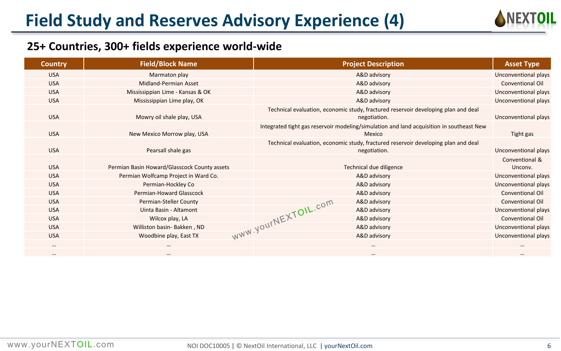

| <b>Country</b> | <b>Field/Block Name</b>                      | <b>Project Description</b>                                                                         | <b>Asset Type</b>         |
|----------------|----------------------------------------------|----------------------------------------------------------------------------------------------------|---------------------------|
| <b>USA</b>     | Marmaton play                                | A&D advisory                                                                                       | Unconventional plays      |
| <b>USA</b>     | Midland-Permian Asset                        | A&D advisory                                                                                       | <b>Conventional Oil</b>   |
| <b>USA</b>     | Mississippian Lime - Kansas & OK             | A&D advisory                                                                                       | Unconventional plays      |
| <b>USA</b>     | Mississippian Lime play, OK                  | A&D advisory                                                                                       | Unconventional plays      |
| <b>USA</b>     | Mowry oil shale play, USA                    | Technical evaluation, economic study, fractured reservoir developing plan and deal<br>negotiation. | Unconventional plays      |
| <b>USA</b>     | New Mexico Morrow play, USA                  | Integrated tight gas reservoir modeling/simulation and land acquisition in southeast New<br>Mexico | Tight gas                 |
| <b>USA</b>     | Pearsall shale gas                           | Technical evaluation, economic study, fractured reservoir developing plan and deal<br>negotiation. | Unconventional plays      |
| <b>USA</b>     | Permian Basin Howard/Glasscock County assets | Technical due diligence                                                                            | Conventional &<br>Unconv. |
| <b>USA</b>     | Permian Wolfcamp Project in Ward Co.         | A&D advisory                                                                                       | Unconventional plays      |
| <b>USA</b>     | Permian-Hockley Co                           | A&D advisory                                                                                       | Unconventional plays      |
| <b>USA</b>     | Permian-Howard Glasscock                     | A&D advisory                                                                                       | <b>Conventional Oil</b>   |
| <b>USA</b>     | Permian-Steller County                       | A&D advisory                                                                                       | <b>Conventional Oil</b>   |
| <b>USA</b>     | Uinta Basin - Altamont                       | A&D advisory                                                                                       | Unconventional plays      |
| <b>USA</b>     | Wilcox play, LA                              | A&D advisory                                                                                       | <b>Conventional Oil</b>   |
| <b>USA</b>     | Williston basin- Bakken, ND                  | A&D advisory                                                                                       | Unconventional plays      |
| <b>USA</b>     | Woodbine play, East TX                       | WWW.YOUrNEXTOIL.com<br>A&D advisory                                                                | Unconventional plays      |
| $\cdots$       |                                              |                                                                                                    |                           |
| $\cdots$       | $\cdots$                                     | $\cdots$                                                                                           | $\cdots$                  |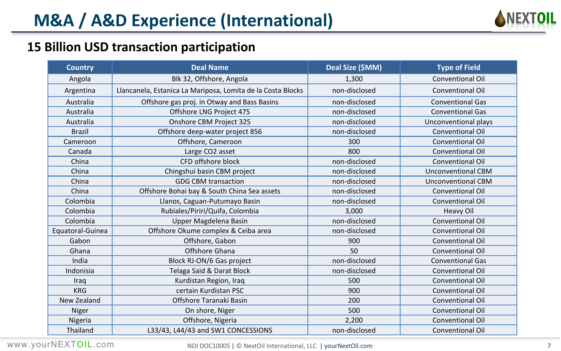

## **15 Billion USD transaction participation**

| <b>Country</b>   | Deal Name                                                   | Deal Size (\$MM) | <b>Type of Field</b>      |
|------------------|-------------------------------------------------------------|------------------|---------------------------|
| Angola           | Blk 32, Offshore, Angola                                    | 1,300            | Conventional Oil          |
| Argentina        | Llancanela, Estanica La Mariposa, Lomita de la Costa Blocks | non-disclosed    | <b>Conventional Oil</b>   |
| Australia        | Offshore gas proj. in Otway and Bass Basins                 | non-disclosed    | <b>Conventional Gas</b>   |
| Australia        | Offshore LNG Project 475                                    | non-disclosed    | <b>Conventional Gas</b>   |
| Australia        | Onshore CBM Project 325                                     | non-disclosed    | Unconventional plays      |
| <b>Brazil</b>    | Offshore deep-water project 856                             | non-disclosed    | <b>Conventional Oil</b>   |
| Cameroon         | Offshore, Cameroon                                          | 300              | Conventional Oil          |
| Canada           | Large CO2 asset                                             | 800              | <b>Conventional Oil</b>   |
| China            | CFD offshore block                                          | non-disclosed    | <b>Conventional Oil</b>   |
| China            | Chingshui basin CBM project                                 | non-disclosed    | <b>Unconventional CBM</b> |
| China            | <b>GDG CBM transaction</b>                                  | non-disclosed    | <b>Unconventional CBM</b> |
| China            | Offshore Bohai bay & South China Sea assets                 | non-disclosed    | Conventional Oil          |
| Colombia         | Llanos, Caguan-Putumayo Basin                               | non-disclosed    | <b>Conventional Oil</b>   |
| Colombia         | Rubiales/Piriri/Quifa, Colombia                             | 3,000            | <b>Heavy Oil</b>          |
| Colombia         | Upper Magdelena Basin                                       | non-disclosed    | Conventional Oil          |
| Equatoral-Guinea | Offshore Okume complex & Ceiba area                         | non-disclosed    | Conventional Oil          |
| Gabon            | Offshore, Gabon                                             | 900              | Conventional Oil          |
| Ghana            | Offshore Ghana                                              | 50               | <b>Conventional Oil</b>   |
| India            | Block RJ-ON/6 Gas project                                   | non-disclosed    | <b>Conventional Gas</b>   |
| Indonisia        | Telaga Said & Darat Block                                   | non-disclosed    | <b>Conventional Oil</b>   |
| Iraq             | Kurdistan Region, Iraq                                      | 500              | Conventional Oil          |
| <b>KRG</b>       | certain Kurdistan PSC                                       | 900              | <b>Conventional Oil</b>   |
| New Zealand      | Offshore Taranaki Basin                                     | 200              | Conventional Oil          |
| Niger            | On shore, Niger                                             | 500              | Conventional Oil          |
| Nigeria          | Offshore, Nigeria                                           | 2,200            | Conventional Oil          |
| Thailand         | L33/43, L44/43 and SW1 CONCESSIONS                          | non-disclosed    | <b>Conventional Oil</b>   |

NOI DOC10005 | © NextOil International, LLC | yourNextOil.com 7